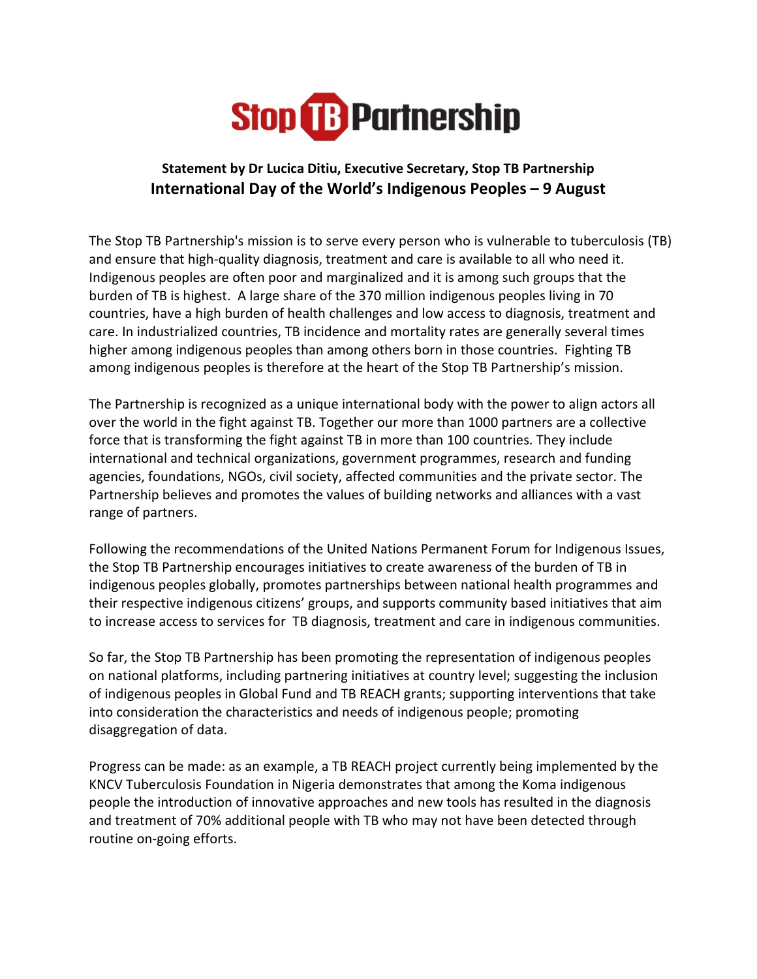

## Statement by Dr Lucica Ditiu, Executive Secretary, Stop TB Partnership International Day of the World's Indigenous Peoples – 9 August

The Stop TB Partnership's mission is to serve every person who is vulnerable to tuberculosis (TB) and ensure that high-quality diagnosis, treatment and care is available to all who need it. Indigenous peoples are often poor and marginalized and it is among such groups that the burden of TB is highest. A large share of the 370 million indigenous peoples living in 70 countries, have a high burden of health challenges and low access to diagnosis, treatment and care. In industrialized countries, TB incidence and mortality rates are generally several times higher among indigenous peoples than among others born in those countries. Fighting TB among indigenous peoples is therefore at the heart of the Stop TB Partnership's mission.

The Partnership is recognized as a unique international body with the power to align actors all over the world in the fight against TB. Together our more than 1000 partners are a collective force that is transforming the fight against TB in more than 100 countries. They include international and technical organizations, government programmes, research and funding agencies, foundations, NGOs, civil society, affected communities and the private sector. The Partnership believes and promotes the values of building networks and alliances with a vast range of partners.

Following the recommendations of the United Nations Permanent Forum for Indigenous Issues, the Stop TB Partnership encourages initiatives to create awareness of the burden of TB in indigenous peoples globally, promotes partnerships between national health programmes and their respective indigenous citizens' groups, and supports community based initiatives that aim to increase access to services for TB diagnosis, treatment and care in indigenous communities.

So far, the Stop TB Partnership has been promoting the representation of indigenous peoples on national platforms, including partnering initiatives at country level; suggesting the inclusion of indigenous peoples in Global Fund and TB REACH grants; supporting interventions that take into consideration the characteristics and needs of indigenous people; promoting disaggregation of data.

Progress can be made: as an example, a TB REACH project currently being implemented by the KNCV Tuberculosis Foundation in Nigeria demonstrates that among the Koma indigenous people the introduction of innovative approaches and new tools has resulted in the diagnosis and treatment of 70% additional people with TB who may not have been detected through routine on-going efforts.